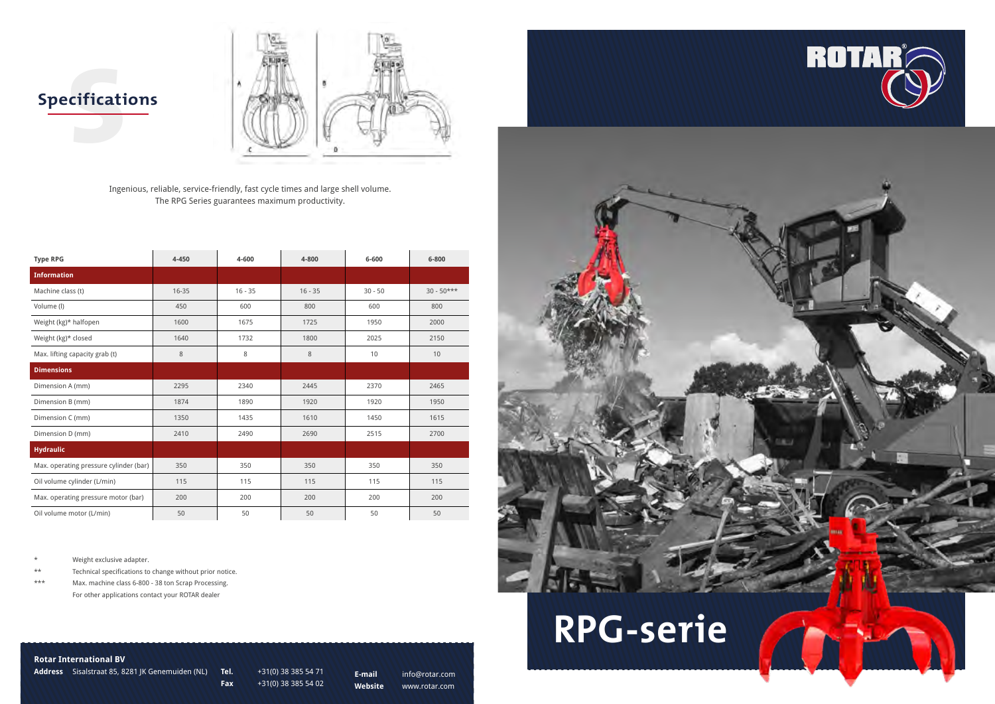



### **Rotar International BV**

**Address** Sisalstraat 85, 8281 JK Genemuiden (NL) **Tel.** +31(0) 38 385 54 71

**Fax** +31(0) 38 385 54 02

**E-mail** info@rotar.com

**Website** www.rotar.com

Ingenious, reliable, service-friendly, fast cycle times and large shell volume. The RPG Series guarantees maximum productivity.

\* Weight exclusive adapter.

\*\* Technical specifications to change without prior notice.

\*\*\* Max. machine class 6-800 - 38 ton Scrap Processing. For other applications contact your ROTAR dealer

**Cificati Specifications**



| <b>Type RPG</b>                        | 4-450 | 4-600     | 4-800     | 6-600     | 6-800           |
|----------------------------------------|-------|-----------|-----------|-----------|-----------------|
| <b>Information</b>                     |       |           |           |           |                 |
| Machine class (t)                      | 16-35 | $16 - 35$ | $16 - 35$ | $30 - 50$ | $30 - 50***$    |
| Volume (I)                             | 450   | 600       | 800       | 600       | 800             |
| Weight (kg)* halfopen                  | 1600  | 1675      | 1725      | 1950      | 2000            |
| Weight (kg)* closed                    | 1640  | 1732      | 1800      | 2025      | 2150            |
| Max. lifting capacity grab (t)         | 8     | 8         | 8         | 10        | 10 <sup>°</sup> |
| <b>Dimensions</b>                      |       |           |           |           |                 |
| Dimension A (mm)                       | 2295  | 2340      | 2445      | 2370      | 2465            |
| Dimension B (mm)                       | 1874  | 1890      | 1920      | 1920      | 1950            |
| Dimension C (mm)                       | 1350  | 1435      | 1610      | 1450      | 1615            |
| Dimension D (mm)                       | 2410  | 2490      | 2690      | 2515      | 2700            |
| <b>Hydraulic</b>                       |       |           |           |           |                 |
| Max. operating pressure cylinder (bar) | 350   | 350       | 350       | 350       | 350             |
| Oil volume cylinder (L/min)            | 115   | 115       | 115       | 115       | 115             |
| Max. operating pressure motor (bar)    | 200   | 200       | 200       | 200       | 200             |
| Oil volume motor (L/min)               | 50    | 50        | 50        | 50        | 50              |